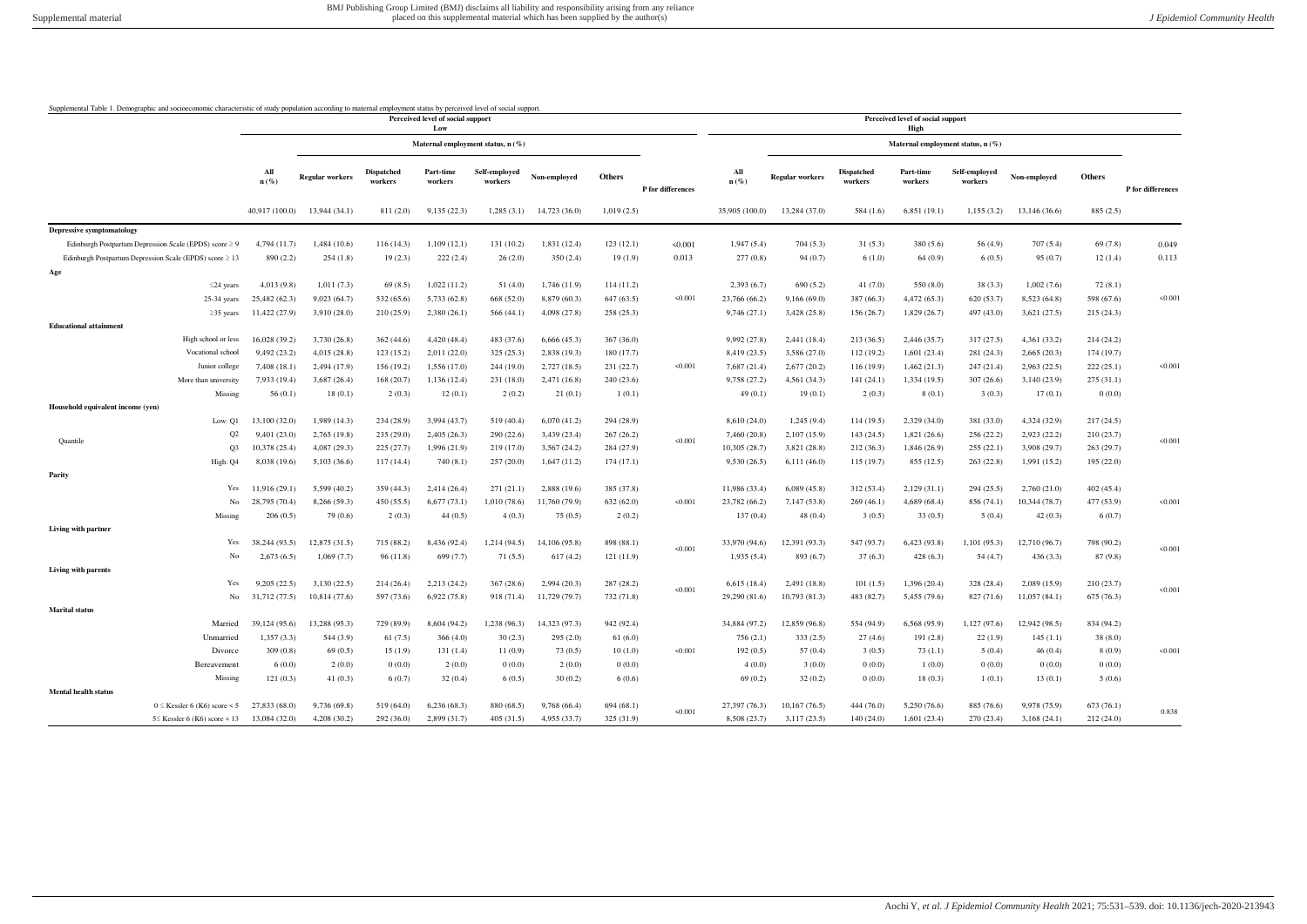|                                                              | Perceived level of social support<br>Low |                                     |                              |                      |                                        |                               |                             |                   |                                  | Perceived level of social support<br>High |                                           |                                     |                                        |               |               |                   |  |  |
|--------------------------------------------------------------|------------------------------------------|-------------------------------------|------------------------------|----------------------|----------------------------------------|-------------------------------|-----------------------------|-------------------|----------------------------------|-------------------------------------------|-------------------------------------------|-------------------------------------|----------------------------------------|---------------|---------------|-------------------|--|--|
|                                                              |                                          | Maternal employment status, $n(\%)$ |                              |                      |                                        |                               |                             |                   |                                  | Maternal employment status, $n(\%)$       |                                           |                                     |                                        |               |               |                   |  |  |
|                                                              | All<br>$\mathbf{n}(\%)$                  | <b>Regular workers</b>              | <b>Dispatched</b><br>workers | Part-time<br>workers | Self-employed<br>workers<br>1,285(3.1) | Non-emploved<br>14,723 (36.0) | <b>Others</b><br>1,019(2.5) | P for differences | All<br>$n(\%)$<br>35,905 (100.0) | <b>Regular workers</b><br>13,284 (37.0)   | <b>Dispatched</b><br>workers<br>584 (1.6) | Part-time<br>workers<br>6,851(19.1) | Self-employed<br>workers<br>1,155(3.2) | Non-emploved  | <b>Others</b> | P for differences |  |  |
|                                                              | 40,917 (100.0)                           | 13,944 (34.1)                       | 811(2.0)                     | 9,135(22.3)          |                                        |                               |                             |                   |                                  |                                           |                                           |                                     |                                        | 13,146 (36.6) | 885(2.5)      |                   |  |  |
| <b>Depressive symptomatology</b>                             |                                          |                                     |                              |                      |                                        |                               |                             |                   |                                  |                                           |                                           |                                     |                                        |               |               |                   |  |  |
| Edinburgh Postpartum Depression Scale (EPDS) score $\geq 9$  | 4,794(11.7)                              | 1,484 (10.6)                        | 116(14.3)                    | 1,109 (12.1)         | 131 (10.2)                             | 1,831 (12.4)                  | 123(12.1)                   | < 0.001           | 1,947(5.4)                       | 704(5.3)                                  | 31(5.3)                                   | 380(5.6)                            | 56 (4.9)                               | 707(5.4)      | 69(7.8)       | 0.049             |  |  |
| Edinburgh Postpartum Depression Scale (EPDS) score $\geq 13$ | 890 (2.2)                                | 254(1.8)                            | 19(2.3)                      | 222(2.4)             | 26(2.0)                                | 350(2.4)                      | 19(1.9)                     | 0.013             | 277(0.8)                         | 94(0.7)                                   | 6(1.0)                                    | 64(0.9)                             | 6(0.5)                                 | 95(0.7)       | 12(1.4)       | 0.113             |  |  |
| Age                                                          |                                          |                                     |                              |                      |                                        |                               |                             |                   |                                  |                                           |                                           |                                     |                                        |               |               |                   |  |  |
| $\leq$ 24 years                                              | 4,013(9.8)                               | 1,011(7.3)                          | 69(8.5)                      | 1,022(11.2)          | 51 (4.0)                               | 1,746(11.9)                   | 114(11.2)                   |                   | 2,393(6.7)                       | 690(5.2)                                  | 41(7.0)                                   | 550 (8.0)                           | 38(3.3)                                | 1,002(7.6)    | 72(8.1)       |                   |  |  |
| 25-34 years                                                  | 25,482 (62.3)                            | 9,023(64.7)                         | 532 (65.6)                   | 5,733 (62.8)         | 668 (52.0)                             | 8,879 (60.3)                  | 647 (63.5)                  | < 0.001           | 23,766 (66.2)                    | 9,166(69.0)                               | 387 (66.3)                                | 4,472(65.3)                         | 620 (53.7)                             | 8,523 (64.8)  | 598 (67.6)    | < 0.001           |  |  |
| $\geq$ 35 years                                              | 11,422 (27.9)                            | 3,910(28.0)                         | 210(25.9)                    | 2,380(26.1)          | 566(44.1)                              | 4,098 (27.8)                  | 258(25.3)                   |                   | 9,746(27.1)                      | 3,428(25.8)                               | 156(26.7)                                 | 1,829 (26.7)                        | 497 (43.0)                             | 3,621(27.5)   | 215(24.3)     |                   |  |  |
| <b>Educational attainment</b>                                |                                          |                                     |                              |                      |                                        |                               |                             |                   |                                  |                                           |                                           |                                     |                                        |               |               |                   |  |  |
| High school or less                                          | 16,028 (39.2)                            | 3,730(26.8)                         | 362(44.6)                    | 4,420(48.4)          | 483 (37.6)                             | 6,666(45.3)                   | 367(36.0)                   |                   | 9,992 (27.8)                     | 2,441 (18.4)                              | 213(36.5)                                 | 2,446(35.7)                         | 317(27.5)                              | 4,361(33.2)   | 214(24.2)     |                   |  |  |
| Vocational school                                            | 9,492(23.2)                              | 4,015(28.8)                         | 123(15.2)                    | 2,011(22.0)          | 325(25.3)                              | 2,838(19.3)                   | 180 (17.7)                  |                   | 8,419 (23.5)                     | 3,586 (27.0)                              | 112(19.2)                                 | 1,601(23.4)                         | 281 (24.3)                             | 2,665(20.3)   | 174(19.7)     |                   |  |  |
| Junior college                                               | 7,408(18.1)                              | 2,494 (17.9)                        | 156(19.2)                    | 1,556(17.0)          | 244 (19.0)                             | 2,727(18.5)                   | 231 (22.7)                  | < 0.001           | 7,687(21.4)                      | 2,677(20.2)                               | 116(19.9)                                 | 1,462(21.3)                         | 247(21.4)                              | 2,963(22.5)   | 222(25.1)     | 50.001            |  |  |
| More than university                                         | 7,933 (19.4)                             | 3,687(26.4)                         | 168(20.7)                    | 1,136(12.4)          | 231 (18.0)                             | 2,471(16.8)                   | 240 (23.6)                  |                   | 9,758 (27.2)                     | 4,561 (34.3)                              | 141(24.1)                                 | 1,334 (19.5)                        | 307(26.6)                              | 3,140(23.9)   | 275(31.1)     |                   |  |  |
| Missing                                                      | 56(0.1)                                  | 18(0.1)                             | 2(0.3)                       | 12(0.1)              | 2(0.2)                                 | 21(0.1)                       | 1(0.1)                      |                   | 49(0.1)                          | 19(0.1)                                   | 2(0.3)                                    | 8(0.1)                              | 3(0.3)                                 | 17(0.1)       | 0(0.0)        |                   |  |  |
| Household equivalent income (yen)                            |                                          |                                     |                              |                      |                                        |                               |                             |                   |                                  |                                           |                                           |                                     |                                        |               |               |                   |  |  |
| Low: $Q1$                                                    | 13,100 (32.0)                            | 1,989 (14.3)                        | 234 (28.9)                   | 3,994 (43.7)         | 519 (40.4)                             | 6,070(41.2)                   | 294 (28.9)                  | < 0.001           | 8,610 (24.0)                     | 1,245(9.4)                                | 114(19.5)                                 | 2,329(34.0)                         | 381 (33.0)                             | 4,324 (32.9)  | 217(24.5)     | < 0.001           |  |  |
| Q2<br>Quantile                                               | 9,401(23.0)                              | 2,765(19.8)                         | 235(29.0)                    | 2,405(26.3)          | 290 (22.6)                             | 3,439 (23.4)                  | 267(26.2)                   |                   | 7,460 (20.8)                     | 2,107(15.9)                               | 143(24.5)                                 | 1,821 (26.6)                        | 256(22.2)                              | 2,923(22.2)   | 210(23.7)     |                   |  |  |
| Q <sub>3</sub>                                               | 10,378 (25.4)                            | 4,087(29.3)                         | 225(27.7)                    | 1,996 (21.9)         | 219 (17.0)                             | 3,567(24.2)                   | 284 (27.9)                  |                   | 10,305(28.7)                     | 3,821 (28.8)                              | 212(36.3)                                 | 1,846 (26.9)                        | 255(22.1)                              | 3,908 (29.7)  | 263(29.7)     |                   |  |  |
| High: Q4                                                     | 8,038 (19.6)                             | 5,103(36.6)                         | 117(14.4)                    | 740(8.1)             | 257(20.0)                              | 1,647(11.2)                   | 174(17.1)                   |                   | 9,530(26.5)                      | 6,111(46.0)                               | 115(19.7)                                 | 855 (12.5)                          | 263 (22.8)                             | 1,991 (15.2)  | 195(22.0)     |                   |  |  |
| Parity                                                       |                                          |                                     |                              |                      |                                        |                               |                             |                   |                                  |                                           |                                           |                                     |                                        |               |               |                   |  |  |
| Yes                                                          | 11,916 (29.1)                            | 5,599(40.2)                         | 359 (44.3)                   | 2,414(26.4)          | 271(21.1)                              | 2,888 (19.6)                  | 385 (37.8)                  | < 0.001           | 11,986 (33.4)                    | 6,089(45.8)                               | 312 (53.4)                                | 2,129(31.1)                         | 294 (25.5)                             | 2,760(21.0)   | 402 (45.4)    | < 0.001           |  |  |
| No                                                           | 28,795 (70.4)                            | 8,266 (59.3)                        | 450(55.5)                    | 6,677(73.1)          | 1,010(78.6)                            | 11,760 (79.9)                 | 632(62.0)                   |                   | 23,782 (66.2)                    | 7,147(53.8)                               | 269(46.1)                                 | 4,689(68.4)                         | 856 (74.1)                             | 10,344 (78.7) | 477 (53.9)    |                   |  |  |
| Missing                                                      | 206(0.5)                                 | 79(0.6)                             | 2(0.3)                       | 44 $(0.5)$           | 4(0.3)                                 | 75(0.5)                       | 2(0.2)                      |                   | 137(0.4)                         | 48 $(0.4)$                                | 3(0.5)                                    | 33(0.5)                             | 5(0.4)                                 | 42(0.3)       | 6(0.7)        |                   |  |  |
| Living with partner                                          |                                          |                                     |                              |                      |                                        |                               |                             | < 0.001           |                                  |                                           |                                           |                                     |                                        |               |               |                   |  |  |
| Yes                                                          | 38,244 (93.5)                            | 12,875 (31.5)                       | 715 (88.2)                   | 8,436 (92.4)         | 1,214(94.5)                            | 14,106 (95.8)                 | 898 (88.1)                  |                   | 33,970 (94.6)                    | 12,391 (93.3)                             | 547 (93.7)                                | 6,423(93.8)                         | 1,101(95.3)                            | 12,710 (96.7) | 798 (90.2)    | < 0.001           |  |  |
| No                                                           | 2,673(6.5)                               | 1,069(7.7)                          | 96(11.8)                     | 699 (7.7)            | 71(5.5)                                | 617(4.2)                      | 121(11.9)                   |                   | 1,935(5.4)                       | 893 (6.7)                                 | 37(6.3)                                   | 428(6.3)                            | 54 (4.7)                               | 436(3.3)      | 87 (9.8)      |                   |  |  |
| Living with parents                                          |                                          |                                     |                              |                      |                                        |                               |                             |                   |                                  |                                           |                                           |                                     |                                        |               |               |                   |  |  |
| Yes                                                          | 9,205(22.5)                              | 3,130(22.5)                         | 214 (26.4)                   | 2,213(24.2)          | 367(28.6)                              | 2,994(20.3)                   | 287 (28.2)                  | < 0.001           | 6,615(18.4)                      | 2,491(18.8)                               | 101(1.5)                                  | 1,396 (20.4)                        | 328 (28.4)                             | 2,089(15.9)   | 210(23.7)     | < 0.001           |  |  |
| No                                                           | 31,712 (77.5)                            | 10,814 (77.6)                       | 597 (73.6)                   | 6,922(75.8)          | 918 (71.4)                             | 11,729 (79.7)                 | 732 (71.8)                  |                   | 29,290 (81.6)                    | 10,793(81.3)                              | 483 (82.7)                                | 5,455 (79.6)                        | 827 (71.6)                             | 11,057(84.1)  | 675 (76.3)    |                   |  |  |
| <b>Marital status</b>                                        |                                          |                                     |                              |                      |                                        |                               |                             |                   |                                  |                                           |                                           |                                     |                                        |               |               |                   |  |  |
| Married                                                      | 39,124 (95.6)                            | 13,288 (95.3)                       | 729 (89.9)                   | 8,604 (94.2)         | 1,238 (96.3)                           | 14,323 (97.3)                 | 942 (92.4)                  |                   | 34,884 (97.2)                    | 12,859 (96.8)                             | 554 (94.9)                                | 6,568 (95.9)                        | 1,127(97.6)                            | 12,942 (98.5) | 834 (94.2)    |                   |  |  |
| Unmarried                                                    | 1,357(3.3)                               | 544 (3.9)                           | 61 $(7.5)$                   | 366(4.0)             | 30(2.3)                                | 295(2.0)                      | 61(6.0)                     | < 0.001           | 756(2.1)                         | 333(2.5)                                  | 27(4.6)                                   | 191(2.8)                            | 22(1.9)                                | 145(1.1)      | 38(8.0)       | < 0.001           |  |  |
| Divorce                                                      | 309(0.8)                                 | 69(0.5)                             | 15(1.9)                      | 131(1.4)             | 11(0.9)                                | 73(0.5)                       | 10(1.0)                     |                   | 192(0.5)                         | 57(0.4)                                   | 3(0.5)                                    | 73 (1.1)                            | 5(0.4)                                 | 46(0.4)       | 8(0.9)        |                   |  |  |
| Bereavement                                                  | 6(0.0)                                   | 2(0.0)                              | 0(0.0)                       | 2(0.0)               | 0(0.0)                                 | 2(0.0)                        | 0(0.0)                      |                   | 4(0.0)                           | 3(0.0)                                    | 0(0.0)                                    | 1(0.0)                              | 0(0.0)                                 | 0(0.0)        | 0(0.0)        |                   |  |  |
| Missing                                                      | 121(0.3)                                 | 41(0.3)                             | 6(0.7)                       | 32(0.4)              | 6(0.5)                                 | 30(0.2)                       | 6(0.6)                      |                   | 69(0.2)                          | 32(0.2)                                   | 0(0.0)                                    | 18(0.3)                             | 1(0.1)                                 | 13(0.1)       | 5(0.6)        |                   |  |  |
| <b>Mental health status</b>                                  |                                          |                                     |                              |                      |                                        |                               |                             |                   |                                  |                                           |                                           |                                     |                                        |               |               |                   |  |  |
| $0 \leq$ Kessler 6 (K6) score < 5 27,833 (68.0)              |                                          | 9,736(69.8)                         | 519(64.0)                    | 6,236(68.3)          | 880 (68.5)                             | 9,768(66.4)                   | 694(68.1)                   | < 0.001           | 27,397 (76.3)                    | 10,167(76.5)                              | 444 (76.0)                                | 5,250(76.6)                         | 885 (76.6)                             | 9,978 (75.9)  | 673 (76.1)    | 0.838             |  |  |
| $5\leq$ Kessler 6 (K6) score < 13                            | 13,084 (32.0)                            | 4,208(30.2)                         | 292(36.0)                    | 2,899 (31.7)         | 405(31.5)                              | 4,955 (33.7)                  | 325 (31.9)                  |                   | 8,508 (23.7)                     | 3,117(23.5)                               | 140(24.0)                                 | 1,601(23.4)                         | 270 (23.4)                             | 3,168(24.1)   | 212(24.0)     |                   |  |  |

Supplemental Table 1. Demographic and socioeconomic characteristic of study population according to maternal employment status by perceived level of social support.